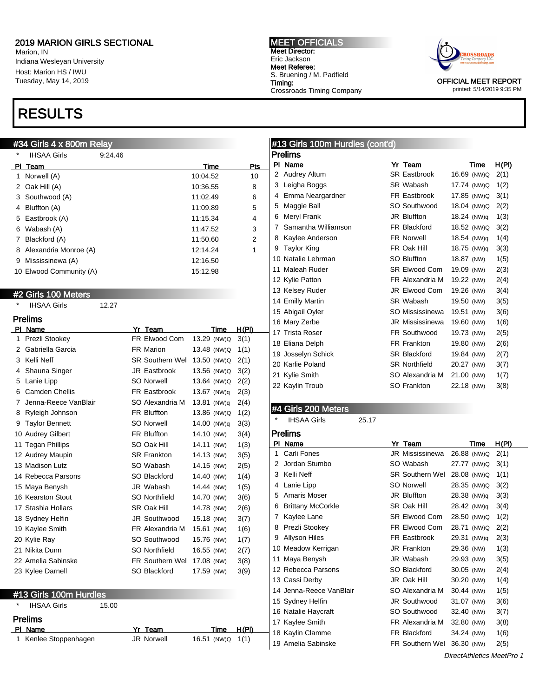Marion, IN Indiana Wesleyan University Host: Marion HS / IWU Tuesday, May 14, 2019

# RESULTS

#### #34 Girls 4 x 800m Relay

| * | <b>IHSAA Girls</b>      | 9:24.46 |                      |             |              | F |
|---|-------------------------|---------|----------------------|-------------|--------------|---|
|   | PI Team                 |         |                      | Time        | Pts          |   |
| 1 | Norwell (A)             |         |                      | 10:04.52    | 10           |   |
|   | 2 Oak Hill (A)          |         |                      | 10:36.55    | 8            |   |
|   | 3 Southwood (A)         |         |                      | 11:02.49    | 6            |   |
|   | 4 Bluffton (A)          |         |                      | 11:09.89    | 5            |   |
|   | 5 Eastbrook (A)         |         |                      | 11:15.34    | 4            |   |
|   | 6 Wabash (A)            |         |                      | 11:47.52    | 3            |   |
|   | 7 Blackford (A)         |         |                      | 11:50.60    | 2            |   |
|   | 8 Alexandria Monroe (A) |         |                      | 12:14.24    | 1            |   |
|   | 9 Mississinewa (A)      |         |                      | 12:16.50    |              |   |
|   | 10 Elwood Community (A) |         |                      | 15:12.98    |              |   |
|   |                         |         |                      |             |              |   |
|   | #2 Girls 100 Meters     |         |                      |             |              |   |
|   | <b>IHSAA Girls</b>      | 12.27   |                      |             |              |   |
|   | <b>Prelims</b>          |         |                      |             |              |   |
|   | PI Name                 |         | Yr Team              | Time        | <u>H(PI)</u> |   |
|   | 1 Prezli Stookey        |         | FR Elwood Com        | 13.29 (NW)Q | 3(1)         |   |
|   | 2 Gabriella Garcia      |         | FR Marion            | 13.48 (NW)Q | 1(1)         |   |
|   | 3 Kelli Neff            |         | SR Southern Wel      | 13.50 (NW)Q | 2(1)         |   |
|   | 4 Shauna Singer         |         | <b>JR Eastbrook</b>  | 13.56 (NW)Q | 3(2)         |   |
|   | 5 Lanie Lipp            |         | <b>SO Norwell</b>    | 13.64 (NW)Q | 2(2)         |   |
|   | 6 Camden Chellis        |         | <b>FR Eastbrook</b>  | 13.67 (NW)q | 2(3)         |   |
|   | 7 Jenna-Reece VanBlair  |         | SO Alexandria M      | 13.81 (NW)q | 2(4)         |   |
|   | 8 Ryleigh Johnson       |         | <b>FR Bluffton</b>   | 13.86 (NW)Q | 1(2)         | ŀ |
|   | 9 Taylor Bennett        |         | <b>SO Norwell</b>    | 14.00 (NW)q | 3(3)         |   |
|   | 10 Audrey Gilbert       |         | <b>FR Bluffton</b>   | 14.10 (NW)  | 3(4)         | F |
|   | 11 Tegan Phillips       |         | SO Oak Hill          | 14.11 (NW)  | 1(3)         |   |
|   | 12 Audrey Maupin        |         | <b>SR Frankton</b>   | 14.13 (NW)  | 3(5)         |   |
|   | 13 Madison Lutz         |         | SO Wabash            | 14.15 (NW)  | 2(5)         |   |
|   | 14 Rebecca Parsons      |         | SO Blackford         | 14.40 (NW)  | 1(4)         |   |
|   | 15 Maya Benysh          |         | JR Wabash            | 14.44 (NW)  | 1(5)         |   |
|   | 16 Kearston Stout       |         | SO Northfield        | 14.70 (NW)  | 3(6)         |   |
|   | 17 Stashia Hollars      |         | SR Oak Hill          | 14.78 (NW)  | 2(6)         |   |
|   | 18 Sydney Helfin        |         | JR Southwood         | 15.18 (NW)  | 3(7)         |   |
|   | 19 Kaylee Smith         |         | FR Alexandria M      | 15.61 (NW)  | 1(6)         |   |
|   | 20 Kylie Ray            |         | SO Southwood         | 15.76 (NW)  | 1(7)         |   |
|   | 21 Nikita Dunn          |         | <b>SO Northfield</b> | 16.55 (NW)  | 2(7)         |   |
|   | 22 Amelia Sabinske      |         | FR Southern Wel      | 17.08 (NW)  | 3(8)         |   |
|   | 23 Kylee Darnell        |         | SO Blackford         | 17.59 (NW)  | 3(9)         |   |
|   |                         |         |                      |             |              |   |
|   | #13 Girls 100m Hurdles  |         |                      |             |              |   |
|   | <b>IHSAA Girls</b>      | 15.00   |                      |             |              |   |
|   | <b>Prelims</b>          |         |                      |             |              |   |

| пошво |                       |                   |                     |  |  |
|-------|-----------------------|-------------------|---------------------|--|--|
|       | PI Name               | Yr Team           | H(PI)<br>Time       |  |  |
|       | 1 Kenlee Stoppenhagen | <b>JR Norwell</b> | 16.51 (NW) Q $1(1)$ |  |  |

#### MEET OFFICIALS Meet Director: Eric Jackson Meet Referee: S. Bruening / M. Padfield Timing: Crossroads Timing Company



printed: 5/14/2019 9:35 PM

### #13 Girls 100m Hurdles (cont'd)

|    | Prelims             |  |                        |             |  |       |  |  |
|----|---------------------|--|------------------------|-------------|--|-------|--|--|
| PI | Name                |  | Yr Team                | Time        |  | H(PI) |  |  |
| 2  | Audrey Altum        |  | <b>SR Eastbrook</b>    | 16.69 (NW)Q |  | 2(1)  |  |  |
| 3  | Leigha Boggs        |  | SR Wabash              | 17.74 (NW)Q |  | 1(2)  |  |  |
| 4  | Emma Neargardner    |  | <b>FR Eastbrook</b>    | 17.85 (NW)Q |  | 3(1)  |  |  |
| 5  | Maggie Ball         |  | SO Southwood           | 18.04 (NW)Q |  | 2(2)  |  |  |
| 6  | Meryl Frank         |  | <b>JR Bluffton</b>     | 18.24 (NW)g |  | 1(3)  |  |  |
| 7  | Samantha Williamson |  | FR Blackford           | 18.52 (NW)Q |  | 3(2)  |  |  |
| 8  | Kaylee Anderson     |  | <b>FR Norwell</b>      | 18.54 (NW)q |  | 1(4)  |  |  |
| 9  | <b>Taylor King</b>  |  | FR Oak Hill            | 18.75 (NW)g |  | 3(3)  |  |  |
|    | 10 Natalie Lehrman  |  | SO Bluffton            | 18.87 (NW)  |  | 1(5)  |  |  |
|    | 11 Maleah Ruder     |  | SR Elwood Com          | 19.09 (NW)  |  | 2(3)  |  |  |
|    | 12 Kylie Patton     |  | FR Alexandria M        | 19.22 (NW)  |  | 2(4)  |  |  |
|    | 13 Kelsey Ruder     |  | JR Elwood Com          | 19.26 (NW)  |  | 3(4)  |  |  |
|    | 14 Emilly Martin    |  | SR Wabash              | 19.50 (NW)  |  | 3(5)  |  |  |
|    | 15 Abigail Oyler    |  | SO Mississinewa        | 19.51 (NW)  |  | 3(6)  |  |  |
|    | 16 Mary Zerbe       |  | <b>JR Mississinewa</b> | 19.60 (NW)  |  | 1(6)  |  |  |
|    | 17 Trista Roser     |  | <b>FR Southwood</b>    | 19.73 (NW)  |  | 2(5)  |  |  |
|    | 18 Eliana Delph     |  | FR Frankton            | 19.80 (NW)  |  | 2(6)  |  |  |
|    | 19 Josselyn Schick  |  | <b>SR Blackford</b>    | 19.84 (NW)  |  | 2(7)  |  |  |
|    | 20 Karlie Poland    |  | <b>SR Northfield</b>   | 20.27 (NW)  |  | 3(7)  |  |  |
|    | 21 Kylie Smith      |  | SO Alexandria M        | 21.00 (NW)  |  | 1(7)  |  |  |
|    | 22 Kaylin Troub     |  | SO Frankton            | 22.18 (NW)  |  | 3(8)  |  |  |
|    |                     |  |                        |             |  |       |  |  |

### #4 Girls 200 Meters

IHSAA Girls 25.17

### Prelims PI Name **Yr Team** You Time H(PI) Carli Fones JR Mississinewa 26.88 (NW)Q 2(1) 2 Jordan Stumbo SO Wabash 27.77 (NW)Q 3(1) 3 Kelli Neff SR Southern Wel 28.08 (NW)Q 1(1) Lanie Lipp SO Norwell 28.35 (NW)Q 3(2) Amaris Moser JR Bluffton 28.38 (NW)q 3(3) Brittany McCorkle SR Oak Hill 28.42 (NW)q 3(4) 7 Kaylee Lane SR Elwood Com 28.50 (NW)Q 1(2) 8 Prezli Stookey FR Elwood Com 28.71 (NW) Q 2(2) 9 Allyson Hiles FR Eastbrook 29.31 (NW)q 2(3) Meadow Kerrigan JR Frankton 29.36 (NW) 1(3) Maya Benysh JR Wabash 29.93 (NW) 3(5) Rebecca Parsons SO Blackford 30.05 (NW) 2(4) Cassi Derby JR Oak Hill 30.20 (NW) 1(4) Jenna-Reece VanBlair SO Alexandria M 30.44 (NW) 1(5) Sydney Helfin JR Southwood 31.07 (NW) 3(6) Natalie Haycraft SO Southwood 32.40 (NW) 3(7) Kaylee Smith FR Alexandria M 32.80 (NW) 3(8) Kaylin Clamme FR Blackford 34.24 (NW) 1(6) Amelia Sabinske FR Southern Wel 36.30 (NW) 2(5)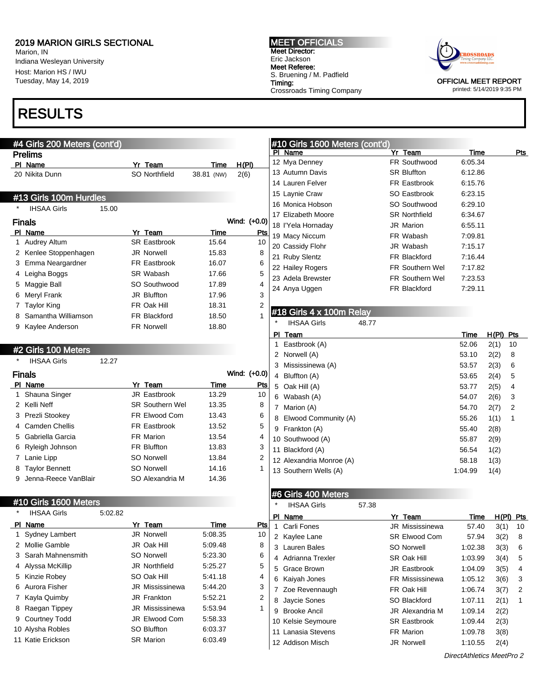Marion, IN Indiana Wesleyan University Host: Marion HS / IWU Tuesday, May 14, 2019

# RESULTS

**Drelime** 

### #4 Girls 200 Meters (cont'd)

|     | гіешір                 |       |                      |            |       |              |
|-----|------------------------|-------|----------------------|------------|-------|--------------|
| PI. | Name                   |       | Yr Team              |            | Time  | H(PI)        |
|     | 20 Nikita Dunn         |       | <b>SO Northfield</b> | 38.81 (NW) |       | 2(6)         |
|     | #13 Girls 100m Hurdles |       |                      |            |       |              |
| *   | <b>IHSAA Girls</b>     | 15.00 |                      |            |       |              |
|     | Finals                 |       |                      |            |       | Wind: (+0.0) |
| ΡI  | Name                   |       | Yr Team              |            | Time  | Pts          |
| 1   | Audrey Altum           |       | <b>SR Eastbrook</b>  |            | 15.64 | 10           |
| 2   | Kenlee Stoppenhagen    |       | <b>JR Norwell</b>    |            | 15.83 | 8            |
| 3   | Emma Neargardner       |       | FR Eastbrook         |            | 16.07 | 6            |
| 4   | Leigha Boggs           |       | SR Wabash            |            | 17.66 | 5            |
| 5   | Maggie Ball            |       | SO Southwood         |            | 17.89 | 4            |
| 6   | Meryl Frank            |       | <b>JR Bluffton</b>   |            | 17.96 | 3            |
| 7   | <b>Taylor King</b>     |       | FR Oak Hill          |            | 18.31 | 2            |
| 8   | Samantha Williamson    |       | <b>FR Blackford</b>  |            | 18.50 | 1            |
| 9   | Kaylee Anderson        |       | <b>FR Norwell</b>    |            | 18.80 |              |
|     |                        |       |                      |            |       |              |

#### Meet Director: Eric Jackson Meet Referee: S. Bruening / M. Padfield Timing: Crossroads Timing Company

MEET OFFICIALS



OFFICIAL MEET REPORT printed: 5/14/2019 9:35 PM

### #10 Girls 1600 Meters (cont'd) Pl Name Yr Team Time Pts 12 Mya Denney FR Southwood 6:05.34 13 Autumn Davis SR Bluffton 6:12.86 14 Lauren Felver FR Eastbrook 6:15.76 15 Laynie Craw SO Eastbrook 6:23.15 16 Monica Hobson SO Southwood 6:29.10 17 Elizabeth Moore SR Northfield 6:34.67 18 I'Yela Hornaday JR Marion 6:55.11 19 Macy Niccum FR Wabash 7:09.81 20 Cassidy Flohr JR Wabash 7:15.17 21 Ruby Slentz FR Blackford 7:16.44 22 Hailey Rogers **FR Southern Wel** 7:17.82 23 Adela Brewster FR Southern Wel 7:23.53 24 Anya Uggen FR Blackford 7:29.11

### #18 Girls 4 x 100m Relay

| *   | <b>IHSAA Girls</b><br>48.77 |         |       |     |
|-----|-----------------------------|---------|-------|-----|
| PI. | Team                        | Time    | H(PI) | Pts |
| 1   | Eastbrook (A)               | 52.06   | 2(1)  | 10  |
| 2   | Norwell (A)                 | 53.10   | 2(2)  | 8   |
|     | 3 Mississinewa (A)          | 53.57   | 2(3)  | 6   |
| 4   | Bluffton (A)                | 53.65   | 2(4)  | 5   |
| 5   | Oak Hill (A)                | 53.77   | 2(5)  | 4   |
| 6   | Wabash (A)                  | 54.07   | 2(6)  | 3   |
| 7   | Marion (A)                  | 54.70   | 2(7)  | 2   |
| 8   | Elwood Community (A)        | 55.26   | 1(1)  | 1   |
|     | 9 Frankton (A)              | 55.40   | 2(8)  |     |
|     | 10 Southwood (A)            | 55.87   | 2(9)  |     |
|     | 11 Blackford (A)            | 56.54   | 1(2)  |     |
|     | 12 Alexandria Monroe (A)    | 58.18   | 1(3)  |     |
|     | 13 Southern Wells (A)       | 1:04.99 | 1(4)  |     |
|     |                             |         |       |     |

### #2 Girls 100 Meters

| $\star$ | <b>IHSAA Girls</b>    | 12.27 |                        |       |              |
|---------|-----------------------|-------|------------------------|-------|--------------|
|         | <b>Finals</b>         |       |                        |       | Wind: (+0.0) |
|         | PI Name               |       | Yr Team                | Time  | Pts          |
|         | 1 Shauna Singer       |       | <b>JR Eastbrook</b>    | 13.29 | 10           |
|         | 2 Kelli Neff          |       | <b>SR Southern Wel</b> | 13.35 | 8            |
|         | 3 Prezli Stookey      |       | FR Elwood Com          | 13.43 | 6            |
|         | 4 Camden Chellis      |       | FR Eastbrook           | 13.52 | 5            |
|         | 5 Gabriella Garcia    |       | <b>FR Marion</b>       | 13.54 | 4            |
| 6       | Ryleigh Johnson       |       | <b>FR Bluffton</b>     | 13.83 | 3            |
| 7       | Lanie Lipp            |       | SO Norwell             | 13.84 | 2            |
| 8       | <b>Taylor Bennett</b> |       | SO Norwell             | 14.16 | 1            |
| 9       | Jenna-Reece VanBlair  |       | SO Alexandria M        | 14.36 |              |
|         |                       |       |                        |       |              |

### #10 Girls 1600 Meters

| *             | <b>IHSAA Girls</b>   | 5:02.82 |                        |         |     | <b>PI</b> | Name                |
|---------------|----------------------|---------|------------------------|---------|-----|-----------|---------------------|
|               | PI Name              |         | Yr Team                | Time    | Pts |           | Carli Fones         |
|               | 1 Sydney Lambert     |         | <b>JR Norwell</b>      | 5:08.35 | 10  |           | 2 Kaylee Lane       |
| $\mathcal{P}$ | Mollie Gamble        |         | JR Oak Hill            | 5:09.48 | 8   |           | 3 Lauren Bales      |
|               | 3 Sarah Mahnensmith  |         | <b>SO Norwell</b>      | 5:23.30 | 6   |           | 4 Adrianna Trexler  |
| 4             | Alyssa McKillip      |         | <b>JR Northfield</b>   | 5:25.27 | 5   |           | 5 Grace Brown       |
|               | 5 Kinzie Robey       |         | SO Oak Hill            | 5:41.18 | 4   |           | 6 Kaiyah Jones      |
| 6.            | Aurora Fisher        |         | <b>JR Mississinewa</b> | 5:44.20 | 3   |           | 7 Zoe Revennaugh    |
|               | Kayla Quimby         |         | JR Frankton            | 5:52.21 | 2   |           | 8 Jaycie Sones      |
| 8             | Raegan Tippey        |         | <b>JR Mississinewa</b> | 5:53.94 | 1   | 9         | <b>Brooke Ancil</b> |
| 9             | <b>Courtney Todd</b> |         | JR Elwood Com          | 5:58.33 |     |           | 10 Kelsie Seymoure  |
|               | 10 Alysha Robles     |         | SO Bluffton            | 6:03.37 |     |           | 11 Lanasia Stevens  |
|               | 11 Katie Erickson    |         | <b>SR Marion</b>       | 6:03.49 |     |           | 12 Addieon Miech    |

#### #6 Girls 400 Meters IHSAA Girls 57.38

|   | 4 Adrianna Trexler  | SR Oak Hill            | 1:03.99 | 3(4) | 5 |
|---|---------------------|------------------------|---------|------|---|
|   | 5 Grace Brown       | <b>JR Eastbrook</b>    | 1:04.09 | 3(5) | 4 |
| 6 | Kaiyah Jones        | <b>FR Mississinewa</b> | 1:05.12 | 3(6) | 3 |
|   | 7 Zoe Revennaugh    | FR Oak Hill            | 1:06.74 | 3(7) | 2 |
| 8 | Jaycie Sones        | SO Blackford           | 1:07.11 | 2(1) | 1 |
| 9 | <b>Brooke Ancil</b> | JR Alexandria M        | 1:09.14 | 2(2) |   |
|   | 10 Kelsie Seymoure  | <b>SR Eastbrook</b>    | 1:09.44 | 2(3) |   |
|   | 11 Lanasia Stevens  | <b>FR Marion</b>       | 1:09.78 | 3(8) |   |
|   | 12 Addison Misch    | <b>JR Norwell</b>      | 1:10.55 | 2(4) |   |
|   |                     |                        |         |      |   |

Yr Team Time H(PI) Pts JR Mississinewa 57.40 3(1) 10 SR Elwood Com 57.94 3(2) 8 SO Norwell 1:02.38 3(3) 6

DirectAthletics MeetPro 2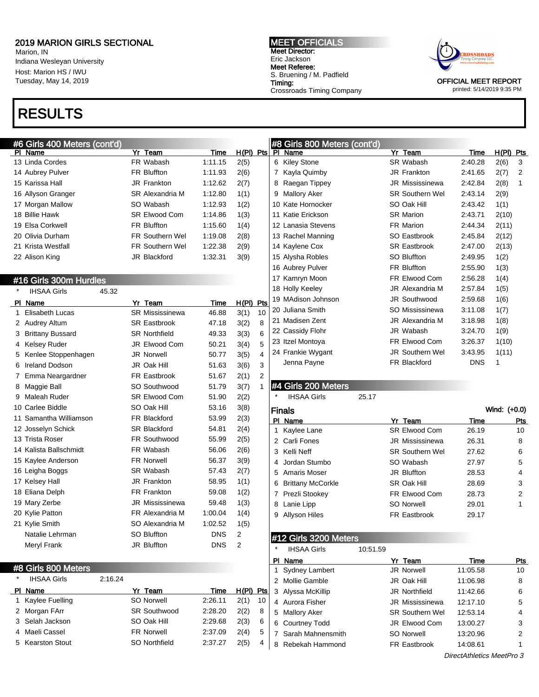$f$ oont'd

Marion, IN Indiana Wesleyan University Host: Marion HS / IWU Tuesday, May 14, 2019

# RESULTS

MEET OFFICIALS Meet Director: Eric Jackson Meet Referee: S. Bruening / M. Padfield Timing: Crossroads Timing Company



OFFICIAL MEET REPORT printed: 5/14/2019 9:35 PM

|         | $\sim$ $\sim$ $\sim$ $\sim$ $\sim$ $\sim$ $\sim$ $\sim$ |       |                        |             |                |                |
|---------|---------------------------------------------------------|-------|------------------------|-------------|----------------|----------------|
|         | PI Name                                                 |       | Yr Team                | Time        | $H(PI)$ Pts    |                |
|         | 13 Linda Cordes                                         |       | FR Wabash              | 1:11.15     | 2(5)           |                |
|         | 14 Aubrey Pulver                                        |       | <b>FR Bluffton</b>     | 1:11.93     | 2(6)           |                |
|         | 15 Karissa Hall                                         |       | <b>JR Frankton</b>     | 1:12.62     | 2(7)           |                |
|         | 16 Allyson Granger                                      |       | <b>SR Alexandria M</b> | 1:12.80     | 1(1)           |                |
|         | 17 Morgan Mallow                                        |       | SO Wabash              | 1:12.93     | 1(2)           |                |
|         | 18 Billie Hawk                                          |       | <b>SR Elwood Com</b>   | 1:14.86     | 1(3)           |                |
|         | 19 Elsa Corkwell                                        |       | <b>FR Bluffton</b>     | 1:15.60     | 1(4)           |                |
|         | 20 Olivia Durham                                        |       | <b>FR Southern Wel</b> | 1:19.08     | 2(8)           |                |
|         | 21 Krista Westfall                                      |       | <b>FR Southern Wel</b> | 1:22.38     | 2(9)           |                |
|         | 22 Alison King                                          |       | <b>JR Blackford</b>    | 1:32.31     | 3(9)           |                |
|         |                                                         |       |                        |             |                |                |
|         | #16 Girls 300m Hurdles                                  |       |                        |             |                |                |
| $\star$ | <b>IHSAA Girls</b>                                      | 45.32 |                        |             |                |                |
|         | PI Name                                                 |       | Yr Team                | <u>Time</u> | <u>H(PI)</u>   | <u>Pts</u>     |
| 1       | Elisabeth Lucas                                         |       | SR Mississinewa        | 46.88       | 3(1)           | 10             |
|         | 2 Audrey Altum                                          |       | <b>SR Eastbrook</b>    | 47.18       | 3(2)           | 8              |
|         | 3 Brittany Bussard                                      |       | <b>SR Northfield</b>   | 49.33       | 3(3)           | 6              |
|         | 4 Kelsey Ruder                                          |       | <b>JR Elwood Com</b>   | 50.21       | 3(4)           | 5              |
|         | 5 Kenlee Stoppenhagen                                   |       | <b>JR Norwell</b>      | 50.77       | 3(5)           | 4              |
|         | 6 Ireland Dodson                                        |       | JR Oak Hill            | 51.63       | 3(6)           | 3              |
|         | 7 Emma Neargardner                                      |       | <b>FR Eastbrook</b>    | 51.67       | 2(1)           | $\overline{2}$ |
|         | 8 Maggie Ball                                           |       | SO Southwood           | 51.79       | 3(7)           | 1              |
| 9       | Maleah Ruder                                            |       | <b>SR Elwood Com</b>   | 51.90       | 2(2)           |                |
|         | 10 Carlee Biddle                                        |       | SO Oak Hill            | 53.16       | 3(8)           |                |
|         | 11 Samantha Williamson                                  |       | FR Blackford           | 53.99       | 2(3)           |                |
|         | 12 Josselyn Schick                                      |       | <b>SR Blackford</b>    | 54.81       | 2(4)           |                |
|         | 13 Trista Roser                                         |       | <b>FR Southwood</b>    | 55.99       | 2(5)           |                |
|         | 14 Kalista Ballschmidt                                  |       | FR Wabash              | 56.06       | 2(6)           |                |
|         | 15 Kaylee Anderson                                      |       | <b>FR Norwell</b>      | 56.37       | 3(9)           |                |
|         | 16 Leigha Boggs                                         |       | SR Wabash              | 57.43       | 2(7)           |                |
|         | 17 Kelsey Hall                                          |       | JR Frankton            | 58.95       | 1(1)           |                |
|         | 18 Eliana Delph                                         |       | <b>FR Frankton</b>     | 59.08       | 1(2)           |                |
|         | 19 Mary Zerbe                                           |       | JR Mississinewa        | 59.48       | 1(3)           |                |
|         | 20 Kylie Patton                                         |       | FR Alexandria M        | 1:00.04     | 1(4)           |                |
|         | 21 Kylie Smith                                          |       | SO Alexandria M        | 1:02.52     | 1(5)           |                |
|         | Natalie Lehrman                                         |       | <b>SO Bluffton</b>     | <b>DNS</b>  | $\overline{2}$ |                |
|         | <b>Meryl Frank</b>                                      |       | JR Bluffton            | <b>DNS</b>  | 2              |                |

### #8 Girls 800 Meters

IHSAA Girls 2:16.24 PI Name Yr Team Time H(PI) Pts Kaylee Fuelling SO Norwell 2:26.11 2(1) 10 2 Morgan FArr SR Southwood 2:28.20 2(2) 8 Selah Jackson SO Oak Hill 2:29.68 2(3) 6 Maeli Cassel FR Norwell 2:37.09 2(4) 5 Kearston Stout SO Northfield 2:37.27 2(5) 4

| #8 | Girls 800 Meters (cont'd) |                        |            |              |            |
|----|---------------------------|------------------------|------------|--------------|------------|
| P  | Name                      | Yr Team                | Time       | <u>H(PI)</u> | <b>Pts</b> |
| 6  | <b>Kiley Stone</b>        | SR Wabash              | 2:40.28    | 2(6)         | 3          |
| 7  | Kayla Quimby              | <b>JR Frankton</b>     | 2:41.65    | 2(7)         | 2          |
| 8  | Raegan Tippey             | <b>JR Mississinewa</b> | 2:42.84    | 2(8)         | 1          |
| 9  | <b>Mallory Aker</b>       | <b>SR Southern Wel</b> | 2:43.14    | 2(9)         |            |
|    | 10 Kate Hornocker         | SO Oak Hill            | 2:43.42    | 1(1)         |            |
|    | 11 Katie Erickson         | <b>SR Marion</b>       | 2:43.71    | 2(10)        |            |
|    | 12 Lanasia Stevens        | <b>FR Marion</b>       | 2:44.34    | 2(11)        |            |
|    | 13 Rachel Manning         | SO Eastbrook           | 2:45.84    | 2(12)        |            |
|    | 14 Kaylene Cox            | <b>SR Eastbrook</b>    | 2:47.00    | 2(13)        |            |
|    | 15 Alysha Robles          | <b>SO Bluffton</b>     | 2:49.95    | 1(2)         |            |
|    | 16 Aubrey Pulver          | <b>FR Bluffton</b>     | 2:55.90    | 1(3)         |            |
|    | 17 Kamryn Moon            | FR Elwood Com          | 2:56.28    | 1(4)         |            |
|    | 18 Holly Keeley           | JR Alexandria M        | 2:57.84    | 1(5)         |            |
|    | 19 MAdison Johnson        | <b>JR Southwood</b>    | 2:59.68    | 1(6)         |            |
|    | 20 Juliana Smith          | SO Mississinewa        | 3:11.08    | 1(7)         |            |
|    | 21 Madisen Zent           | JR Alexandria M        | 3:18.98    | 1(8)         |            |
|    | 22 Cassidy Flohr          | JR Wabash              | 3:24.70    | 1(9)         |            |
|    | 23 Itzel Montoya          | FR Elwood Com          | 3:26.37    | 1(10)        |            |
|    | 24 Frankie Wygant         | <b>JR Southern Wel</b> | 3:43.95    | 1(11)        |            |
|    | Jenna Payne               | FR Blackford           | <b>DNS</b> | 1            |            |
|    |                           |                        |            |              |            |

### #4 Girls 200 Meters

IHSAA Girls 25.17

|   | Finals               |                        | Wind: (+0.0) |     |
|---|----------------------|------------------------|--------------|-----|
|   | PI Name              | Yr Team                | Time         | Pts |
|   | 1 Kaylee Lane        | <b>SR Elwood Com</b>   | 26.19        | 10  |
|   | 2 Carli Fones        | <b>JR Mississinewa</b> | 26.31        | 8   |
|   | 3 Kelli Neff         | <b>SR Southern Wel</b> | 27.62        | 6   |
|   | 4 Jordan Stumbo      | SO Wabash              | 27.97        | 5   |
|   | 5 Amaris Moser       | JR Bluffton            | 28.53        | 4   |
|   | 6 Brittany McCorkle  | SR Oak Hill            | 28.69        | 3   |
|   | 7 Prezli Stookey     | FR Elwood Com          | 28.73        | 2   |
| 8 | Lanie Lipp           | <b>SO Norwell</b>      | 29.01        | 1   |
| 9 | <b>Allyson Hiles</b> | <b>FR Eastbrook</b>    | 29.17        |     |

## #12 Girls 3200 Meters

| $\star$ | <b>IHSAA Girls</b> | 10:51.59 |                        |          |            |
|---------|--------------------|----------|------------------------|----------|------------|
| ΡI      | Name               |          | Yr Team                | Time     | <b>Pts</b> |
|         | 1 Sydney Lambert   |          | <b>JR Norwell</b>      | 11:05.58 | 10         |
|         | 2 Mollie Gamble    |          | JR Oak Hill            | 11:06.98 | 8          |
|         | 3 Alyssa McKillip  |          | <b>JR Northfield</b>   | 11:42.66 | 6          |
|         | 4 Aurora Fisher    |          | <b>JR Mississinewa</b> | 12:17.10 | 5          |
|         | 5 Mallory Aker     |          | <b>SR Southern Wel</b> | 12:53.14 | 4          |
|         | 6 Courtney Todd    |          | JR Elwood Com          | 13:00.27 | 3          |
|         | Sarah Mahnensmith  |          | SO Norwell             | 13:20.96 | 2          |
| 8       | Rebekah Hammond    |          | <b>FR Eastbrook</b>    | 14:08.61 |            |
|         |                    |          |                        |          |            |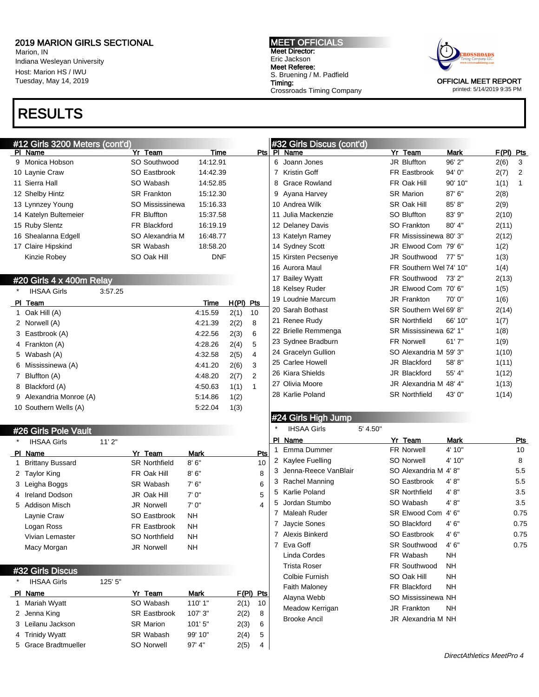Marion, IN Indiana Wesleyan University Host: Marion HS / IWU Tuesday, May 14, 2019

# RESULTS

### #12 Girls 3200 Meters (cont'd) PI Name Time

MEET OFFICIALS Meet Director: Eric Jackson Meet Referee: S. Bruening / M. Padfield Timing: Crossroads Timing Company



OFFICIAL MEET REPORT printed: 5/14/2019 9:35 PM

| #12 Girls 3200 Meters (cont'd) |                    |             |                      | #32 Girls Discus (cont'd)                                                                                                         |                         |             |             |
|--------------------------------|--------------------|-------------|----------------------|-----------------------------------------------------------------------------------------------------------------------------------|-------------------------|-------------|-------------|
| PI Name                        | Yr Team            | <b>Time</b> | Pts                  | PI Name                                                                                                                           | Yr Team                 | <b>Mark</b> | $F(PI)$ Pts |
| 9 Monica Hobson                | SO Southwood       | 14:12.91    |                      | 6<br>Joann Jones                                                                                                                  | JR Bluffton             | 96' 2"      | 2(6)<br>3   |
| 10 Laynie Craw                 | SO Eastbrook       | 14:42.39    |                      | Kristin Goff                                                                                                                      | FR Eastbrook            | 94' 0"      | 2(7)<br>2   |
| 11 Sierra Hall                 | SO Wabash          | 14:52.85    |                      | 8 Grace Rowland                                                                                                                   | FR Oak Hill             | 90' 10"     | 1(1)<br>1   |
| 12 Shelby Hintz                | <b>SR Frankton</b> | 15:12.30    |                      | 9 Ayana Harvey                                                                                                                    | <b>SR Marion</b>        | 87' 6"      | 2(8)        |
| 13 Lynnzey Young               | SO Mississinewa    | 15:16.33    |                      | 10 Andrea Wilk                                                                                                                    | SR Oak Hill             | 85' 8"      | 2(9)        |
| 14 Katelyn Bultemeier          | <b>FR Bluffton</b> | 15:37.58    |                      | 11 Julia Mackenzie                                                                                                                | SO Bluffton             | 83' 9"      | 2(10)       |
| 15 Ruby Slentz                 | FR Blackford       | 16:19.19    |                      | 12 Delaney Davis                                                                                                                  | SO Frankton             | 80' 4"      | 2(11)       |
| 16 Shealanna Edgell            | SO Alexandria M    | 16:48.77    |                      | 13 Katelyn Ramey                                                                                                                  | FR Mississinewa 80'3"   |             | 2(12)       |
| 17 Claire Hipskind             | SR Wabash          | 18:58.20    |                      | 14 Sydney Scott                                                                                                                   | JR Elwood Com 79' 6"    |             | 1(2)        |
| Kinzie Robey                   | SO Oak Hill        | <b>DNF</b>  |                      | 15 Kirsten Pecsenye                                                                                                               | JR Southwood            | 77'5''      | 1(3)        |
|                                |                    |             |                      | 16 Aurora Maul                                                                                                                    | FR Southern Wel 74' 10" |             | 1(4)        |
| #20 Girls 4 x 400m Relay       |                    |             |                      | 17 Bailey Wyatt                                                                                                                   | FR Southwood            | 73' 2"      | 2(13)       |
| <b>IHSAA Girls</b><br>3:57.25  |                    |             |                      | 18 Kelsey Ruder                                                                                                                   | JR Elwood Com 70' 6"    |             | 1(5)        |
| PI_Team                        |                    | Time        | H(PI) Pts            | 19 Loudnie Marcum                                                                                                                 | JR Frankton             | 70'0''      | 1(6)        |
| 1 Oak Hill (A)                 |                    | 4:15.59     | 2(1)<br>10           | 20 Sarah Bothast                                                                                                                  | SR Southern Wel 69' 8"  |             | 2(14)       |
| 2 Norwell (A)                  |                    | 4:21.39     | 2(2)<br>8            | 21 Renee Rudy                                                                                                                     | <b>SR Northfield</b>    | 66' 10"     | 1(7)        |
| 3 Eastbrook (A)                |                    | 4:22.56     | 6<br>2(3)            | 22 Brielle Remmenga                                                                                                               | SR Mississinewa 62' 1"  |             | 1(8)        |
| 4 Frankton (A)                 |                    | 4:28.26     | 5<br>2(4)            | 23 Sydnee Bradburn                                                                                                                | FR Norwell              | 61'7''      | 1(9)        |
| 5 Wabash (A)                   |                    | 4:32.58     | 4<br>2(5)            | 24 Gracelyn Gullion                                                                                                               | SO Alexandria M 59' 3"  |             | 1(10)       |
| 6 Mississinewa (A)             |                    | 4:41.20     | 2(6)<br>3            | 25 Carlee Howell                                                                                                                  | JR Blackford            | 58' 8"      | 1(11)       |
| 7 Bluffton (A)                 |                    | 4:48.20     | 2(7)<br>2            | 26 Kiara Shields                                                                                                                  | JR Blackford            | 55' 4"      | 1(12)       |
| 8 Blackford (A)                |                    | 4:50.63     | 1(1)<br>$\mathbf{1}$ | 27 Olivia Moore                                                                                                                   | JR Alexandria M 48' 4"  |             | 1(13)       |
| 9 Alexandria Monroe (A)        |                    | 5.14.86     | 1(2)                 | 28 Karlie Poland                                                                                                                  | <b>SR Northfield</b>    | 43' 0"      | 1(14)       |
| 10 Southern Wells (A)          |                    | 5:22.04     | 1(3)                 |                                                                                                                                   |                         |             |             |
|                                |                    |             |                      | $\mathbf{u}$ $\mathbf{v}$ $\mathbf{v}$ $\mathbf{v}$ $\mathbf{v}$ $\mathbf{v}$ $\mathbf{v}$ $\mathbf{v}$ $\mathbf{v}$ $\mathbf{v}$ |                         |             |             |

### #24 Girls High Jump

| $\star$ | <b>IHSAA Girls</b>   | 5' 4.50" |                      |           |      |
|---------|----------------------|----------|----------------------|-----------|------|
| PI      | Name                 |          | Yr Team              | Mark      | Pts  |
| 1       | Emma Dummer          |          | <b>FR Norwell</b>    | 4' 10"    | 10   |
| 2       | Kaylee Fuelling      |          | <b>SO Norwell</b>    | 4' 10"    | 8    |
| 3       | Jenna-Reece VanBlair |          | SO Alexandria M 4'8" |           | 5.5  |
| 3       | Rachel Manning       |          | SO Eastbrook         | 4' 8''    | 5.5  |
| 5       | Karlie Poland        |          | <b>SR Northfield</b> | 4'8"      | 3.5  |
| 5       | Jordan Stumbo        |          | SO Wabash            | 4' 8''    | 3.5  |
| 7       | Maleah Ruder         |          | <b>SR Elwood Com</b> | 4'6''     | 0.75 |
| 7       | Jaycie Sones         |          | SO Blackford         | 4'6''     | 0.75 |
| 7       | Alexis Binkerd       |          | SO Eastbrook         | 4'6''     | 0.75 |
| 7       | Eva Goff             |          | <b>SR Southwood</b>  | 4'6''     | 0.75 |
|         | Linda Cordes         |          | FR Wabash            | NH        |      |
|         | Trista Roser         |          | <b>FR Southwood</b>  | NH        |      |
|         | Colbie Furnish       |          | SO Oak Hill          | NΗ        |      |
|         | <b>Faith Maloney</b> |          | FR Blackford         | <b>NH</b> |      |
|         | Alayna Webb          |          | SO Mississinewa NH   |           |      |
|         | Meadow Kerrigan      |          | <b>JR Frankton</b>   | <b>NH</b> |      |
|         | <b>Brooke Ancil</b>  |          | JR Alexandria M NH   |           |      |

## #32 Girls Discus

#26 Girls Pole Vault

IHSAA Girls 11' 2"

| <b>IHSAA Girls</b> | 125' 5"                                                                                                |                     |         |       |     |
|--------------------|--------------------------------------------------------------------------------------------------------|---------------------|---------|-------|-----|
|                    |                                                                                                        | Yr Team             | Mark    | F(PI) | Pts |
|                    |                                                                                                        | SO Wabash           | 110'1"  | 2(1)  | 10  |
|                    |                                                                                                        | <b>SR Eastbrook</b> | 107'3'' | 2(2)  | 8   |
|                    |                                                                                                        | <b>SR Marion</b>    | 101'5"  | 2(3)  | 6   |
|                    |                                                                                                        | SR Wabash           | 99' 10" | 2(4)  | 5   |
|                    |                                                                                                        | SO Norwell          | 97' 4'' | 2(5)  | 4   |
|                    | Name<br>1 Mariah Wyatt<br>2 Jenna King<br>3 Leilanu Jackson<br>4 Trinidy Wyatt<br>5 Grace Bradtmueller |                     |         |       |     |

PI Name **Yr Team** Mark Pts 1 Brittany Bussard SR Northfield 8' 6" 10 2 Taylor King **FR Oak Hill** 8' 6" 8 3 Leigha Boggs SR Wabash 7' 6" 6 4 Ireland Dodson JR Oak Hill 7' 0" 5 5 Addison Misch JR Norwell 7' 0" 4

Laynie Craw **SO Eastbrook** NH Logan Ross FR Eastbrook NH Vivian Lemaster SO Northfield NH Macy Morgan JR Norwell NH